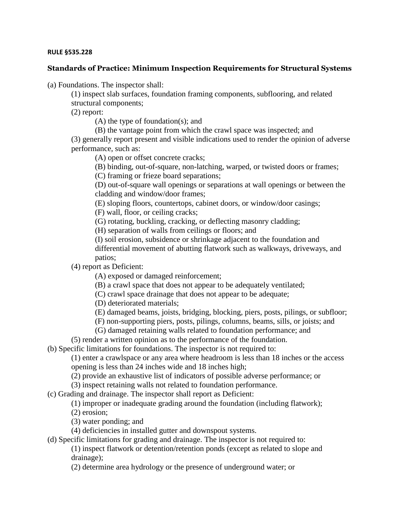## **RULE §535.228**

## **Standards of Practice: Minimum Inspection Requirements for Structural Systems**

(a) Foundations. The inspector shall:

(1) inspect slab surfaces, foundation framing components, subflooring, and related structural components;

(2) report:

(A) the type of foundation(s); and

(B) the vantage point from which the crawl space was inspected; and

(3) generally report present and visible indications used to render the opinion of adverse performance, such as:

(A) open or offset concrete cracks;

(B) binding, out-of-square, non-latching, warped, or twisted doors or frames;

(C) framing or frieze board separations;

(D) out-of-square wall openings or separations at wall openings or between the cladding and window/door frames;

(E) sloping floors, countertops, cabinet doors, or window/door casings;

(F) wall, floor, or ceiling cracks;

(G) rotating, buckling, cracking, or deflecting masonry cladding;

(H) separation of walls from ceilings or floors; and

(I) soil erosion, subsidence or shrinkage adjacent to the foundation and differential movement of abutting flatwork such as walkways, driveways, and patios;

(4) report as Deficient:

(A) exposed or damaged reinforcement;

(B) a crawl space that does not appear to be adequately ventilated;

(C) crawl space drainage that does not appear to be adequate;

(D) deteriorated materials;

(E) damaged beams, joists, bridging, blocking, piers, posts, pilings, or subfloor;

(F) non-supporting piers, posts, pilings, columns, beams, sills, or joists; and

(G) damaged retaining walls related to foundation performance; and

(5) render a written opinion as to the performance of the foundation.

(b) Specific limitations for foundations. The inspector is not required to:

(1) enter a crawlspace or any area where headroom is less than 18 inches or the access opening is less than 24 inches wide and 18 inches high;

(2) provide an exhaustive list of indicators of possible adverse performance; or

(3) inspect retaining walls not related to foundation performance.

(c) Grading and drainage. The inspector shall report as Deficient:

(1) improper or inadequate grading around the foundation (including flatwork);

(2) erosion;

(3) water ponding; and

(4) deficiencies in installed gutter and downspout systems.

(d) Specific limitations for grading and drainage. The inspector is not required to:

(1) inspect flatwork or detention/retention ponds (except as related to slope and drainage);

(2) determine area hydrology or the presence of underground water; or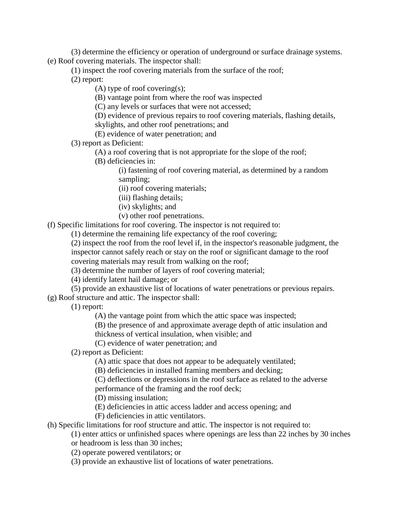(3) determine the efficiency or operation of underground or surface drainage systems. (e) Roof covering materials. The inspector shall:

(1) inspect the roof covering materials from the surface of the roof;

(2) report:

(A) type of roof covering(s);

(B) vantage point from where the roof was inspected

(C) any levels or surfaces that were not accessed;

(D) evidence of previous repairs to roof covering materials, flashing details, skylights, and other roof penetrations; and

(E) evidence of water penetration; and

(3) report as Deficient:

(A) a roof covering that is not appropriate for the slope of the roof;

(B) deficiencies in:

(i) fastening of roof covering material, as determined by a random sampling;

(ii) roof covering materials;

(iii) flashing details;

(iv) skylights; and

(v) other roof penetrations.

(f) Specific limitations for roof covering. The inspector is not required to:

(1) determine the remaining life expectancy of the roof covering;

(2) inspect the roof from the roof level if, in the inspector's reasonable judgment, the inspector cannot safely reach or stay on the roof or significant damage to the roof covering materials may result from walking on the roof;

(3) determine the number of layers of roof covering material;

(4) identify latent hail damage; or

(5) provide an exhaustive list of locations of water penetrations or previous repairs.

(g) Roof structure and attic. The inspector shall:

(1) report:

(A) the vantage point from which the attic space was inspected;

(B) the presence of and approximate average depth of attic insulation and

thickness of vertical insulation, when visible; and

(C) evidence of water penetration; and

(2) report as Deficient:

(A) attic space that does not appear to be adequately ventilated;

(B) deficiencies in installed framing members and decking;

(C) deflections or depressions in the roof surface as related to the adverse performance of the framing and the roof deck;

(D) missing insulation;

(E) deficiencies in attic access ladder and access opening; and

(F) deficiencies in attic ventilators.

(h) Specific limitations for roof structure and attic. The inspector is not required to:

(1) enter attics or unfinished spaces where openings are less than 22 inches by 30 inches

or headroom is less than 30 inches;

(2) operate powered ventilators; or

(3) provide an exhaustive list of locations of water penetrations.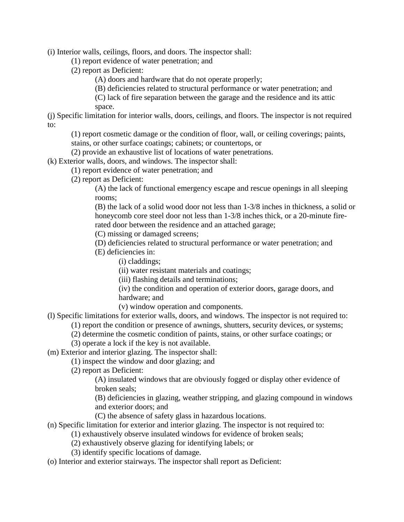(i) Interior walls, ceilings, floors, and doors. The inspector shall:

(1) report evidence of water penetration; and

(2) report as Deficient:

(A) doors and hardware that do not operate properly;

(B) deficiencies related to structural performance or water penetration; and

(C) lack of fire separation between the garage and the residence and its attic space.

(j) Specific limitation for interior walls, doors, ceilings, and floors. The inspector is not required to:

(1) report cosmetic damage or the condition of floor, wall, or ceiling coverings; paints, stains, or other surface coatings; cabinets; or countertops, or

(2) provide an exhaustive list of locations of water penetrations.

(k) Exterior walls, doors, and windows. The inspector shall:

(1) report evidence of water penetration; and

(2) report as Deficient:

(A) the lack of functional emergency escape and rescue openings in all sleeping rooms;

(B) the lack of a solid wood door not less than 1-3/8 inches in thickness, a solid or honeycomb core steel door not less than 1-3/8 inches thick, or a 20-minute firerated door between the residence and an attached garage;

(C) missing or damaged screens;

(D) deficiencies related to structural performance or water penetration; and

(E) deficiencies in:

(i) claddings;

(ii) water resistant materials and coatings;

(iii) flashing details and terminations;

(iv) the condition and operation of exterior doors, garage doors, and hardware; and

(v) window operation and components.

(l) Specific limitations for exterior walls, doors, and windows. The inspector is not required to:

(1) report the condition or presence of awnings, shutters, security devices, or systems;

(2) determine the cosmetic condition of paints, stains, or other surface coatings; or

(3) operate a lock if the key is not available.

(m) Exterior and interior glazing. The inspector shall:

(1) inspect the window and door glazing; and

(2) report as Deficient:

(A) insulated windows that are obviously fogged or display other evidence of broken seals;

(B) deficiencies in glazing, weather stripping, and glazing compound in windows and exterior doors; and

- (C) the absence of safety glass in hazardous locations.
- (n) Specific limitation for exterior and interior glazing. The inspector is not required to:
	- (1) exhaustively observe insulated windows for evidence of broken seals;
		- (2) exhaustively observe glazing for identifying labels; or

(3) identify specific locations of damage.

(o) Interior and exterior stairways. The inspector shall report as Deficient: